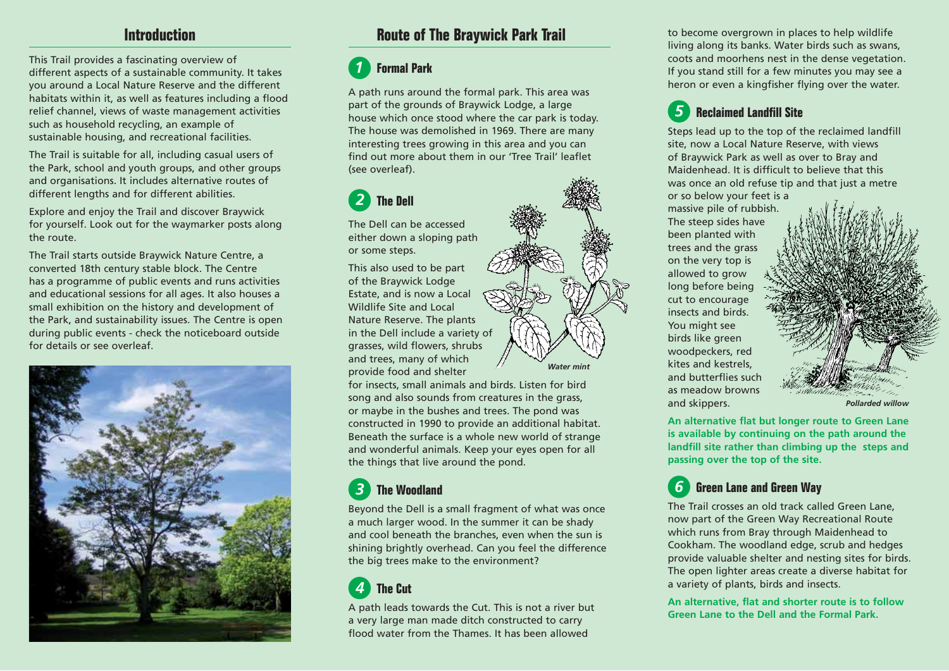## **Introduction**

This Trail provides a fascinating overview of different aspects of a sustainable community. It takes you around a Local Nature Reserve and the different habitats within it, as well as features including a flood relief channel, views of waste management activities such as household recycling, an example of sustainable housing, and recreational facilities.

The Trail is suitable for all, including casual users of the Park, school and youth groups, and other groups and organisations. It includes alternative routes of different lengths and for different abilities.

Explore and enjoy the Trail and discover Braywick for yourself. Look out for the waymarker posts along the route.

The Trail starts outside Braywick Nature Centre, a converted 18th century stable block. The Centre has a programme of public events and runs activities and educational sessions for all ages. It also houses a small exhibition on the history and development of the Park, and sustainability issues. The Centre is open during public events - check the noticeboard outside for details or see overleaf.



# **Route of The Braywick Park Trail**

#### **Formal Park***1*

A path runs around the formal park. This area was part of the grounds of Braywick Lodge, a large house which once stood where the car park is today. The house was demolished in 1969. There are many interesting trees growing in this area and you can find out more about them in our 'Tree Trail' leaflet(see overleaf).

## **The Dell***2*

The Dell can be accessed either down a sloping path or some steps.

This also used to be part of the Braywick Lodge Estate, and is now a Local Wildlife Site and LocalNature Reserve. The plants in the Dell include a variety of grasses, wild flowers, shrubs and trees, many of which provide food and shelter

*Water mint*

for insects, small animals and birds. Listen for bird song and also sounds from creatures in the grass, or maybe in the bushes and trees. The pond was constructed in 1990 to provide an additional habitat. Beneath the surface is a whole new world of strange and wonderful animals. Keep your eyes open for all the things that live around the pond.

#### **The Woodland***3*

Beyond the Dell is a small fragment of what was once a much larger wood. In the summer it can be shady and cool beneath the branches, even when the sun is shining brightly overhead. Can you feel the difference the big trees make to the environment?

## **The Cut***4*

A path leads towards the Cut. This is not a river but a very large man made ditch constructed to carry flood water from the Thames. It has been allowed

to become overgrown in places to help wildlife living along its banks. Water birds such as swans, coots and moorhens nest in the dense vegetation. If you stand still for a few minutes you may see a heron or even a kingfisher flying over the water.

#### **Reclaimed Landfill Site***5*

Steps lead up to the top of the reclaimed landfill site, now a Local Nature Reserve, with views of Braywick Park as well as over to Bray and Maidenhead. It is difficult to believe that this was once an old refuse tip and that just a metre or so below your feet is a

massive pile of rubbish. The steep sides have been planted with trees and the grass on the very top is allowed to grow long before being cut to encourage insects and birds.You might see birds like green woodpeckers, red kites and kestrels, and butterflies such as meadow browns and skippers.



*Pollarded willow*

**An alternative flat but longer route to Green Lane is available by continuing on the path around the landfill site rather than climbing up the steps and passing over the top of the site.**

#### **Green Lane and Green Way** *6*

The Trail crosses an old track called Green Lane, now part of the Green Way Recreational Route which runs from Bray through Maidenhead to Cookham. The woodland edge, scrub and hedges provide valuable shelter and nesting sites for birds. The open lighter areas create a diverse habitat for a variety of plants, birds and insects.

**An alternative, flat and shorter route is to follow Green Lane to the Dell and the Formal Park.**